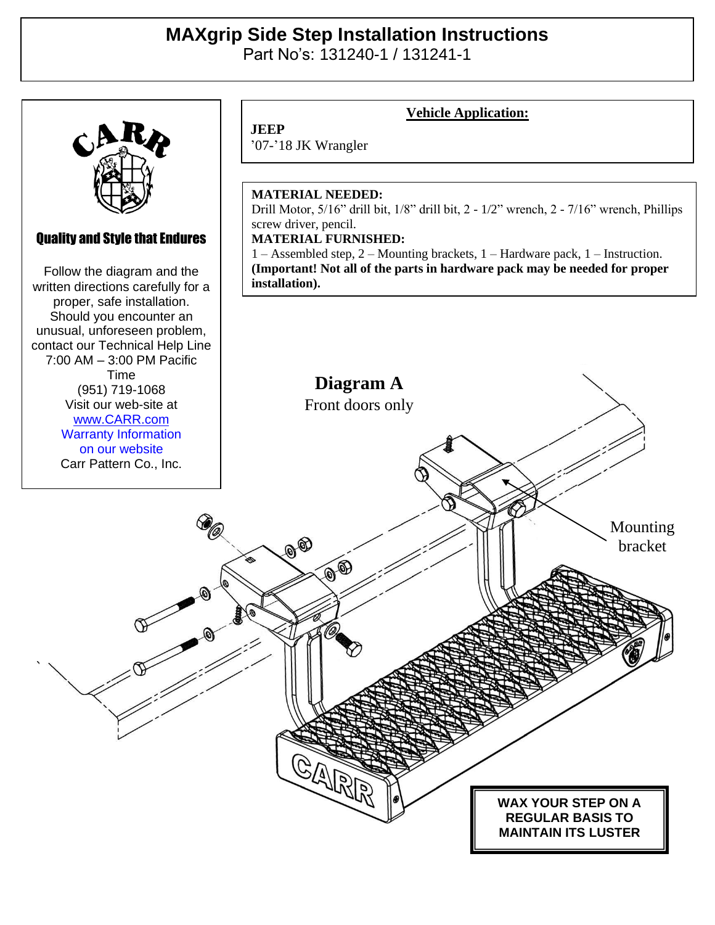# **MAXgrip Side Step Installation Instructions**

Part No's: 131240-1 / 131241-1



## Quality and Style that Endures

Quality and Style that Endures Follow the diagram and the Follow the diagram and the written directions carefully for a written directions carefully for a proper, safe installation. proper, safe installation. Should you encounter an Should you encounter an unusual, unforeseen problem, unusual, unforeseen problem, contact our Technical Help Line contact our Technical Help Line 7:00 AM – 3:00 PM Pacific Time<br>Time Visit our web-site at (951) 719-1068 ww.carr.com<br>. . . . Visit our web-site at [www.CARR.com](http://www.carr.com/) Warranty Information on our website Carr Pattern Co., Inc.

'07-'18 JK Wrangler

**JEEP**

### **MATERIAL NEEDED:**

Drill Motor, 5/16" drill bit, 1/8" drill bit, 2 - 1/2" wrench, 2 - 7/16" wrench, Phillips screw driver, pencil.

**Vehicle Application:**

#### **MATERIAL FURNISHED:**

1 – Assembled step, 2 – Mounting brackets, 1 – Hardware pack, 1 – Instruction. **(Important! Not all of the parts in hardware pack may be needed for proper installation).**